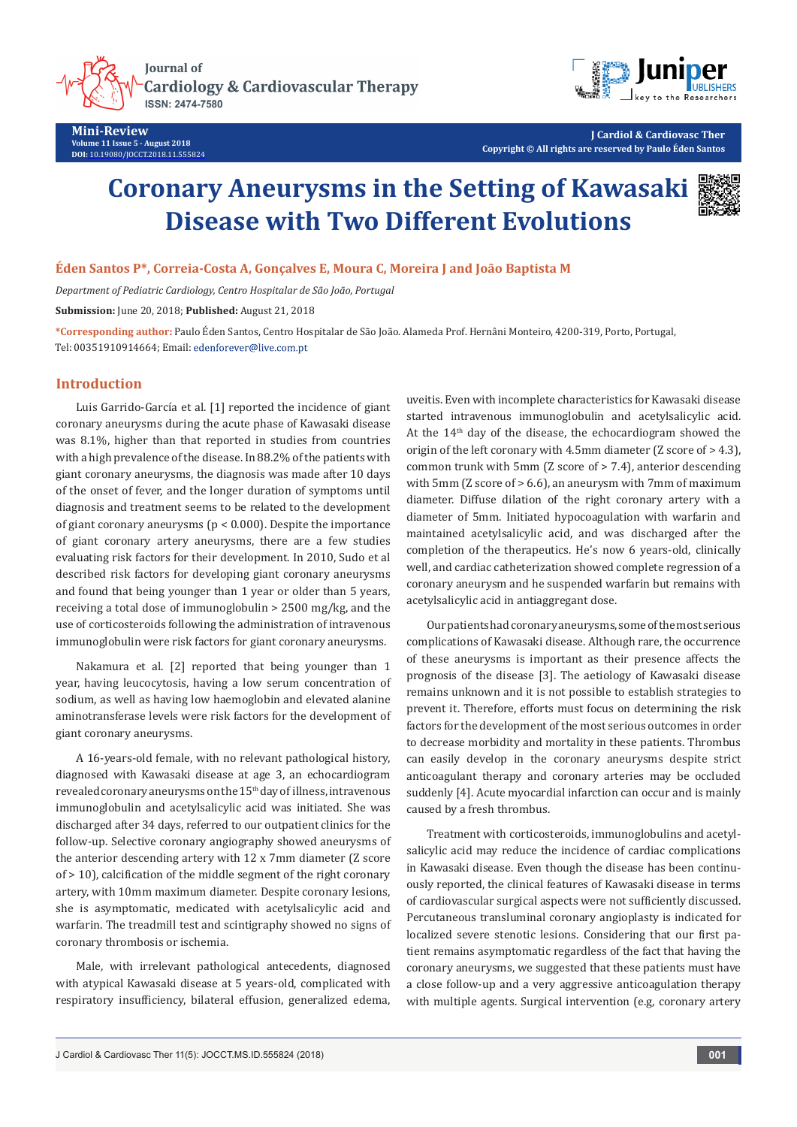**Journal of Cardiology & Cardiovascular Therapy** 



**Mini-Review Volume 11 Issue 5 - August 2018 DOI:** [10.19080/JOCCT.2018.11.555824](http://dx.doi.org/10.19080/JOCCT.2018.11.555824)



**J Cardiol & Cardiovasc Ther Copyright © All rights are reserved by Paulo Éden Santos**

# **Coronary Aneurysms in the Setting of Kawasaki Disease with Two Different Evolutions**



#### **Éden Santos P\*, Correia-Costa A, Gonçalves E, Moura C, Moreira J and João Baptista M**

*Department of Pediatric Cardiology, Centro Hospitalar de São João, Portugal*

**Submission:** June 20, 2018; **Published:** August 21, 2018

**\*Corresponding author:** Paulo Éden Santos, Centro Hospitalar de São João. Alameda Prof. Hernâni Monteiro, 4200-319, Porto, Portugal, Tel: 00351910914664; Email: edenforever@live.com.pt

#### **Introduction**

Luis Garrido-García et al. [1] reported the incidence of giant coronary aneurysms during the acute phase of Kawasaki disease was 8.1%, higher than that reported in studies from countries with a high prevalence of the disease. In 88.2% of the patients with giant coronary aneurysms, the diagnosis was made after 10 days of the onset of fever, and the longer duration of symptoms until diagnosis and treatment seems to be related to the development of giant coronary aneurysms (p < 0.000). Despite the importance of giant coronary artery aneurysms, there are a few studies evaluating risk factors for their development. In 2010, Sudo et al described risk factors for developing giant coronary aneurysms and found that being younger than 1 year or older than 5 years, receiving a total dose of immunoglobulin > 2500 mg/kg, and the use of corticosteroids following the administration of intravenous immunoglobulin were risk factors for giant coronary aneurysms.

Nakamura et al. [2] reported that being younger than 1 year, having leucocytosis, having a low serum concentration of sodium, as well as having low haemoglobin and elevated alanine aminotransferase levels were risk factors for the development of giant coronary aneurysms.

A 16-years-old female, with no relevant pathological history, diagnosed with Kawasaki disease at age 3, an echocardiogram revealed coronary aneurysms on the 15<sup>th</sup> day of illness, intravenous immunoglobulin and acetylsalicylic acid was initiated. She was discharged after 34 days, referred to our outpatient clinics for the follow-up. Selective coronary angiography showed aneurysms of the anterior descending artery with 12 x 7mm diameter (Z score of > 10), calcification of the middle segment of the right coronary artery, with 10mm maximum diameter. Despite coronary lesions, she is asymptomatic, medicated with acetylsalicylic acid and warfarin. The treadmill test and scintigraphy showed no signs of coronary thrombosis or ischemia.

Male, with irrelevant pathological antecedents, diagnosed with atypical Kawasaki disease at 5 years-old, complicated with respiratory insufficiency, bilateral effusion, generalized edema, uveitis. Even with incomplete characteristics for Kawasaki disease started intravenous immunoglobulin and acetylsalicylic acid. At the  $14<sup>th</sup>$  day of the disease, the echocardiogram showed the origin of the left coronary with 4.5mm diameter (Z score of > 4.3), common trunk with 5mm (Z score of > 7.4), anterior descending with 5mm (Z score of > 6.6), an aneurysm with 7mm of maximum diameter. Diffuse dilation of the right coronary artery with a diameter of 5mm. Initiated hypocoagulation with warfarin and maintained acetylsalicylic acid, and was discharged after the completion of the therapeutics. He's now 6 years-old, clinically well, and cardiac catheterization showed complete regression of a coronary aneurysm and he suspended warfarin but remains with acetylsalicylic acid in antiaggregant dose.

Our patients had coronary aneurysms, some of the most serious complications of Kawasaki disease. Although rare, the occurrence of these aneurysms is important as their presence affects the prognosis of the disease [3]. The aetiology of Kawasaki disease remains unknown and it is not possible to establish strategies to prevent it. Therefore, efforts must focus on determining the risk factors for the development of the most serious outcomes in order to decrease morbidity and mortality in these patients. Thrombus can easily develop in the coronary aneurysms despite strict anticoagulant therapy and coronary arteries may be occluded suddenly [4]. Acute myocardial infarction can occur and is mainly caused by a fresh thrombus.

Treatment with corticosteroids, immunoglobulins and acetylsalicylic acid may reduce the incidence of cardiac complications in Kawasaki disease. Even though the disease has been continuously reported, the clinical features of Kawasaki disease in terms of cardiovascular surgical aspects were not sufficiently discussed. Percutaneous transluminal coronary angioplasty is indicated for localized severe stenotic lesions. Considering that our first patient remains asymptomatic regardless of the fact that having the coronary aneurysms, we suggested that these patients must have a close follow-up and a very aggressive anticoagulation therapy with multiple agents. Surgical intervention (e.g, coronary artery